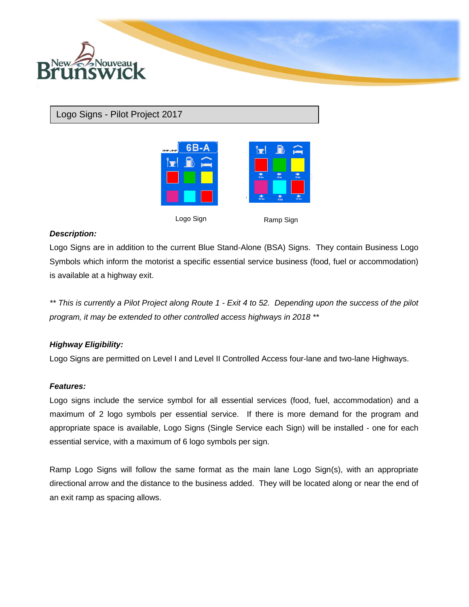

# Logo Signs - Pilot Project 2017



Logo Sign Ramp Sign

## *Description:*

Logo Signs are in addition to the current Blue Stand-Alone (BSA) Signs. They contain Business Logo Symbols which inform the motorist a specific essential service business (food, fuel or accommodation) is available at a highway exit.

*\*\* This is currently a Pilot Project along Route 1 - Exit 4 to 52. Depending upon the success of the pilot program, it may be extended to other controlled access highways in 2018 \*\**

## *Highway Eligibility:*

Logo Signs are permitted on Level I and Level II Controlled Access four-lane and two-lane Highways.

### *Features:*

Logo signs include the service symbol for all essential services (food, fuel, accommodation) and a maximum of 2 logo symbols per essential service. If there is more demand for the program and appropriate space is available, Logo Signs (Single Service each Sign) will be installed - one for each essential service, with a maximum of 6 logo symbols per sign.

Ramp Logo Signs will follow the same format as the main lane Logo Sign(s), with an appropriate directional arrow and the distance to the business added. They will be located along or near the end of an exit ramp as spacing allows.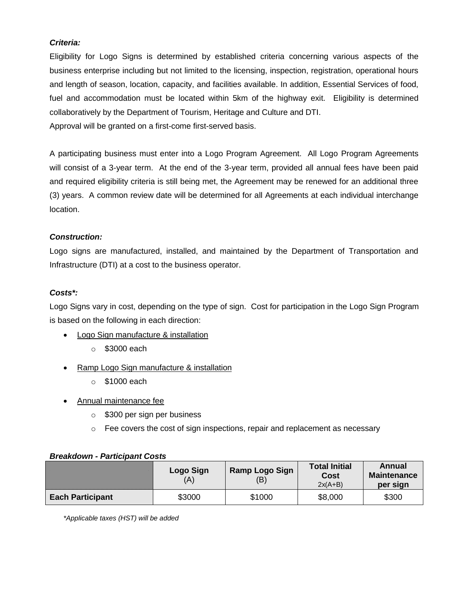# *Criteria:*

Eligibility for Logo Signs is determined by established criteria concerning various aspects of the business enterprise including but not limited to the licensing, inspection, registration, operational hours and length of season, location, capacity, and facilities available. In addition, Essential Services of food, fuel and accommodation must be located within 5km of the highway exit. Eligibility is determined collaboratively by the Department of Tourism, Heritage and Culture and DTI. Approval will be granted on a first-come first-served basis.

A participating business must enter into a Logo Program Agreement. All Logo Program Agreements will consist of a 3-year term. At the end of the 3-year term, provided all annual fees have been paid and required eligibility criteria is still being met, the Agreement may be renewed for an additional three (3) years. A common review date will be determined for all Agreements at each individual interchange location.

## *Construction:*

Logo signs are manufactured, installed, and maintained by the Department of Transportation and Infrastructure (DTI) at a cost to the business operator.

### *Costs\*:*

Logo Signs vary in cost, depending on the type of sign. Cost for participation in the Logo Sign Program is based on the following in each direction:

- Logo Sign manufacture & installation
	- $\circ$  \$3000 each
- Ramp Logo Sign manufacture & installation
	- o \$1000 each
- Annual maintenance fee
	- o \$300 per sign per business
	- $\circ$  Fee covers the cost of sign inspections, repair and replacement as necessary

|                         | Logo Sign<br>'A | Ramp Logo Sign<br>(B) | <b>Total Initial</b><br>Cost<br>$2x(A+B)$ | Annual<br><b>Maintenance</b><br>per sign |
|-------------------------|-----------------|-----------------------|-------------------------------------------|------------------------------------------|
| <b>Each Participant</b> | \$3000          | \$1000                | \$8,000                                   | \$300                                    |

### *Breakdown - Participant Costs*

*\*Applicable taxes (HST) will be added*